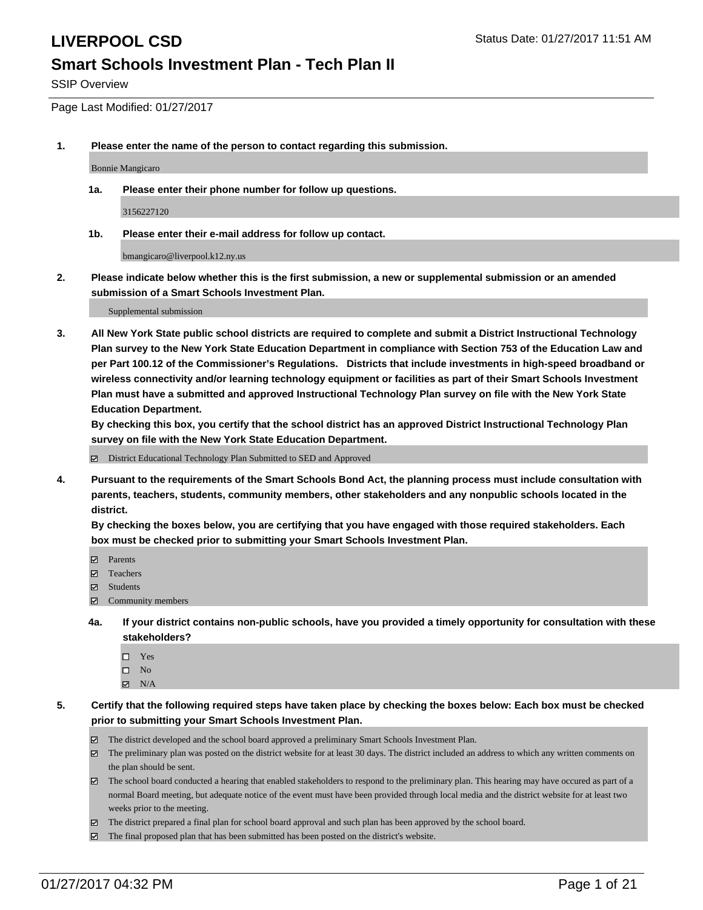SSIP Overview

Page Last Modified: 01/27/2017

**1. Please enter the name of the person to contact regarding this submission.**

Bonnie Mangicaro

**1a. Please enter their phone number for follow up questions.**

3156227120

**1b. Please enter their e-mail address for follow up contact.**

bmangicaro@liverpool.k12.ny.us

**2. Please indicate below whether this is the first submission, a new or supplemental submission or an amended submission of a Smart Schools Investment Plan.**

Supplemental submission

**3. All New York State public school districts are required to complete and submit a District Instructional Technology Plan survey to the New York State Education Department in compliance with Section 753 of the Education Law and per Part 100.12 of the Commissioner's Regulations. Districts that include investments in high-speed broadband or wireless connectivity and/or learning technology equipment or facilities as part of their Smart Schools Investment Plan must have a submitted and approved Instructional Technology Plan survey on file with the New York State Education Department.** 

**By checking this box, you certify that the school district has an approved District Instructional Technology Plan survey on file with the New York State Education Department.**

District Educational Technology Plan Submitted to SED and Approved

**4. Pursuant to the requirements of the Smart Schools Bond Act, the planning process must include consultation with parents, teachers, students, community members, other stakeholders and any nonpublic schools located in the district.** 

**By checking the boxes below, you are certifying that you have engaged with those required stakeholders. Each box must be checked prior to submitting your Smart Schools Investment Plan.**

- **Parents**
- Teachers
- **冈** Students
- Community members
- **4a. If your district contains non-public schools, have you provided a timely opportunity for consultation with these stakeholders?**
	- □ Yes
	- $\square$  No
	- $\boxtimes$  N/A
- **5. Certify that the following required steps have taken place by checking the boxes below: Each box must be checked prior to submitting your Smart Schools Investment Plan.**
	- The district developed and the school board approved a preliminary Smart Schools Investment Plan.
	- The preliminary plan was posted on the district website for at least 30 days. The district included an address to which any written comments on the plan should be sent.
	- The school board conducted a hearing that enabled stakeholders to respond to the preliminary plan. This hearing may have occured as part of a normal Board meeting, but adequate notice of the event must have been provided through local media and the district website for at least two weeks prior to the meeting.
	- The district prepared a final plan for school board approval and such plan has been approved by the school board.
	- $\boxtimes$  The final proposed plan that has been submitted has been posted on the district's website.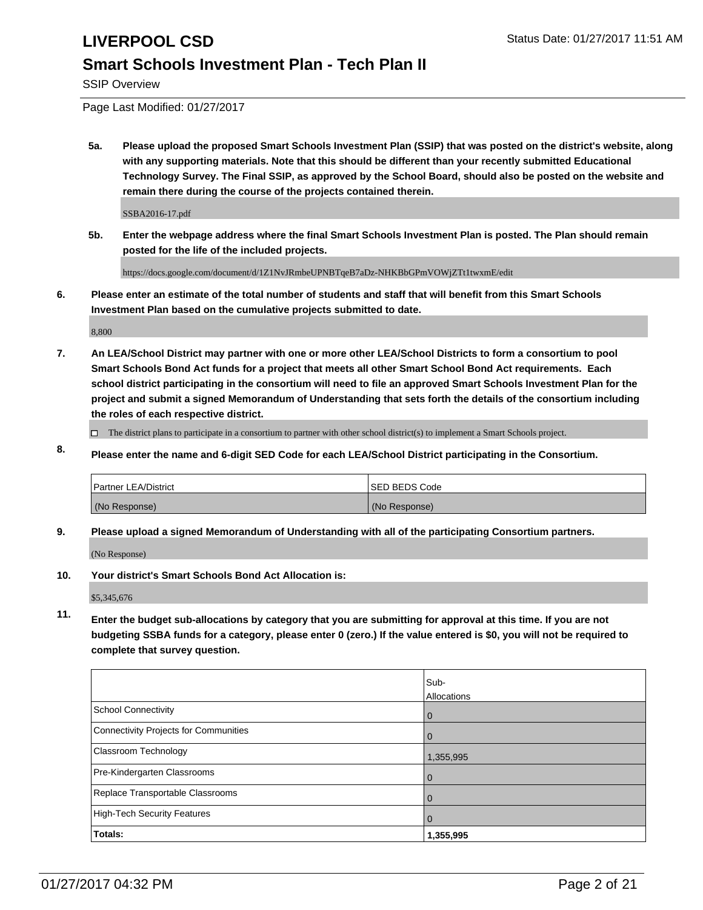SSIP Overview

Page Last Modified: 01/27/2017

**5a. Please upload the proposed Smart Schools Investment Plan (SSIP) that was posted on the district's website, along with any supporting materials. Note that this should be different than your recently submitted Educational Technology Survey. The Final SSIP, as approved by the School Board, should also be posted on the website and remain there during the course of the projects contained therein.**

SSBA2016-17.pdf

**5b. Enter the webpage address where the final Smart Schools Investment Plan is posted. The Plan should remain posted for the life of the included projects.**

https://docs.google.com/document/d/1Z1NvJRmbeUPNBTqeB7aDz-NHKBbGPmVOWjZTt1twxmE/edit

**6. Please enter an estimate of the total number of students and staff that will benefit from this Smart Schools Investment Plan based on the cumulative projects submitted to date.**

8,800

- **7. An LEA/School District may partner with one or more other LEA/School Districts to form a consortium to pool Smart Schools Bond Act funds for a project that meets all other Smart School Bond Act requirements. Each school district participating in the consortium will need to file an approved Smart Schools Investment Plan for the project and submit a signed Memorandum of Understanding that sets forth the details of the consortium including the roles of each respective district.**
	- $\Box$  The district plans to participate in a consortium to partner with other school district(s) to implement a Smart Schools project.
- **8. Please enter the name and 6-digit SED Code for each LEA/School District participating in the Consortium.**

| Partner LEA/District | <b>ISED BEDS Code</b> |
|----------------------|-----------------------|
| (No Response)        | (No Response)         |

**9. Please upload a signed Memorandum of Understanding with all of the participating Consortium partners.**

(No Response)

**10. Your district's Smart Schools Bond Act Allocation is:**

\$5,345,676

**11. Enter the budget sub-allocations by category that you are submitting for approval at this time. If you are not budgeting SSBA funds for a category, please enter 0 (zero.) If the value entered is \$0, you will not be required to complete that survey question.**

|                                       | Sub-           |
|---------------------------------------|----------------|
|                                       | Allocations    |
| School Connectivity                   | $\overline{0}$ |
| Connectivity Projects for Communities | l 0            |
| <b>Classroom Technology</b>           | 1,355,995      |
| Pre-Kindergarten Classrooms           | l 0            |
| Replace Transportable Classrooms      | l 0            |
| High-Tech Security Features           | l 0            |
| Totals:                               | 1,355,995      |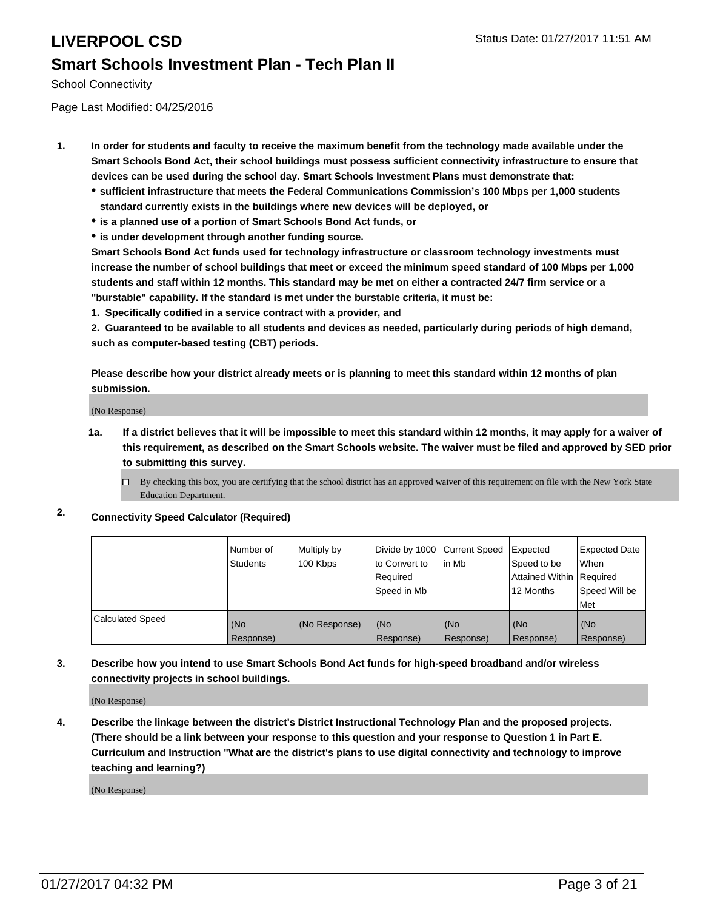School Connectivity

Page Last Modified: 04/25/2016

- **1. In order for students and faculty to receive the maximum benefit from the technology made available under the Smart Schools Bond Act, their school buildings must possess sufficient connectivity infrastructure to ensure that devices can be used during the school day. Smart Schools Investment Plans must demonstrate that:**
	- **sufficient infrastructure that meets the Federal Communications Commission's 100 Mbps per 1,000 students standard currently exists in the buildings where new devices will be deployed, or**
	- **is a planned use of a portion of Smart Schools Bond Act funds, or**
	- **is under development through another funding source.**

**Smart Schools Bond Act funds used for technology infrastructure or classroom technology investments must increase the number of school buildings that meet or exceed the minimum speed standard of 100 Mbps per 1,000 students and staff within 12 months. This standard may be met on either a contracted 24/7 firm service or a "burstable" capability. If the standard is met under the burstable criteria, it must be:**

**1. Specifically codified in a service contract with a provider, and**

**2. Guaranteed to be available to all students and devices as needed, particularly during periods of high demand, such as computer-based testing (CBT) periods.**

**Please describe how your district already meets or is planning to meet this standard within 12 months of plan submission.**

(No Response)

**1a. If a district believes that it will be impossible to meet this standard within 12 months, it may apply for a waiver of this requirement, as described on the Smart Schools website. The waiver must be filed and approved by SED prior to submitting this survey.**

 $\Box$ By checking this box, you are certifying that the school district has an approved waiver of this requirement on file with the New York State Education Department.

**2. Connectivity Speed Calculator (Required)**

|                         | l Number of<br>Students | Multiply by<br>100 Kbps | Divide by 1000   Current Speed<br>to Convert to<br>Reauired<br>Speed in Mb | in Mb            | Expected<br>Speed to be<br>Attained Within   Required<br>12 Months | <b>Expected Date</b><br>l When<br>Speed Will be<br>Met |
|-------------------------|-------------------------|-------------------------|----------------------------------------------------------------------------|------------------|--------------------------------------------------------------------|--------------------------------------------------------|
| <b>Calculated Speed</b> | (No<br>Response)        | (No Response)           | (No<br>Response)                                                           | (No<br>Response) | (No<br>Response)                                                   | l (No<br>Response)                                     |

**3. Describe how you intend to use Smart Schools Bond Act funds for high-speed broadband and/or wireless connectivity projects in school buildings.**

(No Response)

**4. Describe the linkage between the district's District Instructional Technology Plan and the proposed projects. (There should be a link between your response to this question and your response to Question 1 in Part E. Curriculum and Instruction "What are the district's plans to use digital connectivity and technology to improve teaching and learning?)**

(No Response)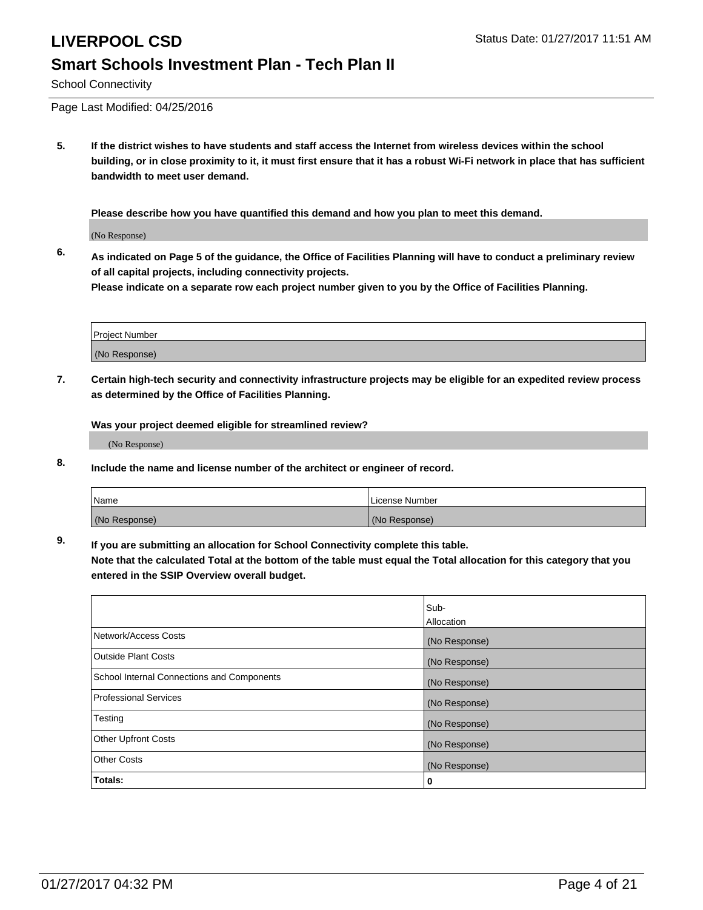# **LIVERPOOL CSD** Status Date: 01/27/2017 11:51 AM **Smart Schools Investment Plan - Tech Plan II**

School Connectivity

Page Last Modified: 04/25/2016

**5. If the district wishes to have students and staff access the Internet from wireless devices within the school building, or in close proximity to it, it must first ensure that it has a robust Wi-Fi network in place that has sufficient bandwidth to meet user demand.**

**Please describe how you have quantified this demand and how you plan to meet this demand.**

(No Response)

**6. As indicated on Page 5 of the guidance, the Office of Facilities Planning will have to conduct a preliminary review of all capital projects, including connectivity projects.**

**Please indicate on a separate row each project number given to you by the Office of Facilities Planning.**

| Project Number |  |
|----------------|--|
|                |  |
| (No Response)  |  |

**7. Certain high-tech security and connectivity infrastructure projects may be eligible for an expedited review process as determined by the Office of Facilities Planning.**

**Was your project deemed eligible for streamlined review?**

(No Response)

**8. Include the name and license number of the architect or engineer of record.**

| <b>Name</b>   | License Number |
|---------------|----------------|
| (No Response) | (No Response)  |

**9. If you are submitting an allocation for School Connectivity complete this table.**

**Note that the calculated Total at the bottom of the table must equal the Total allocation for this category that you entered in the SSIP Overview overall budget.** 

|                                            | Sub-              |
|--------------------------------------------|-------------------|
|                                            | <b>Allocation</b> |
| Network/Access Costs                       | (No Response)     |
| <b>Outside Plant Costs</b>                 | (No Response)     |
| School Internal Connections and Components | (No Response)     |
| <b>Professional Services</b>               | (No Response)     |
| Testing                                    | (No Response)     |
| <b>Other Upfront Costs</b>                 | (No Response)     |
| <b>Other Costs</b>                         | (No Response)     |
| Totals:                                    | 0                 |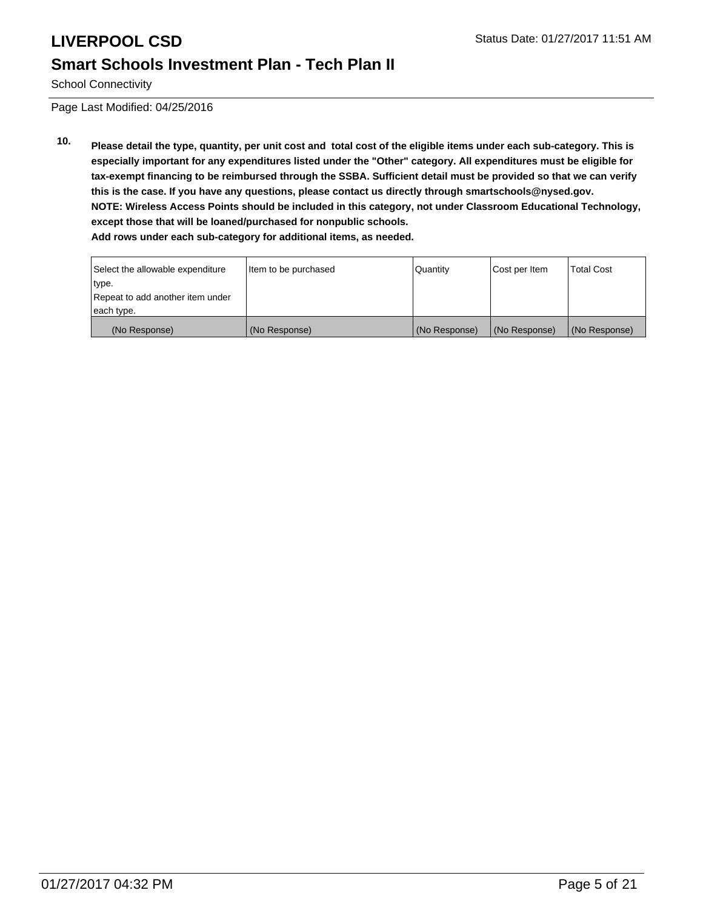School Connectivity

Page Last Modified: 04/25/2016

**10. Please detail the type, quantity, per unit cost and total cost of the eligible items under each sub-category. This is especially important for any expenditures listed under the "Other" category. All expenditures must be eligible for tax-exempt financing to be reimbursed through the SSBA. Sufficient detail must be provided so that we can verify this is the case. If you have any questions, please contact us directly through smartschools@nysed.gov. NOTE: Wireless Access Points should be included in this category, not under Classroom Educational Technology, except those that will be loaned/purchased for nonpublic schools. Add rows under each sub-category for additional items, as needed.**

| Select the allowable expenditure | Item to be purchased | <b>Quantity</b> | Cost per Item | <b>Total Cost</b> |
|----------------------------------|----------------------|-----------------|---------------|-------------------|
| type.                            |                      |                 |               |                   |
| Repeat to add another item under |                      |                 |               |                   |
| each type.                       |                      |                 |               |                   |
| (No Response)                    | (No Response)        | (No Response)   | (No Response) | (No Response)     |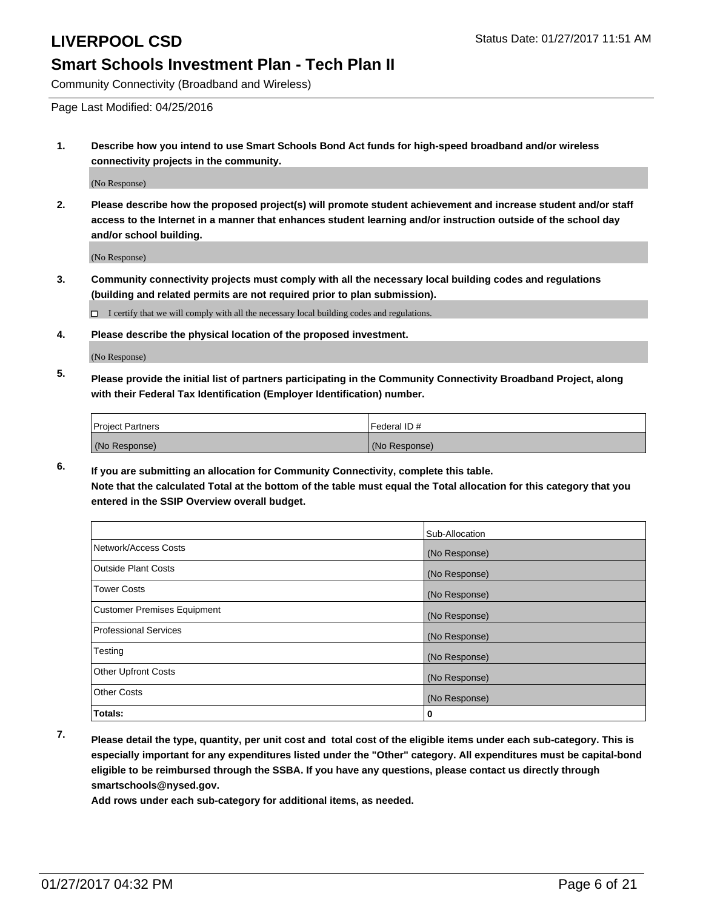Community Connectivity (Broadband and Wireless)

Page Last Modified: 04/25/2016

**1. Describe how you intend to use Smart Schools Bond Act funds for high-speed broadband and/or wireless connectivity projects in the community.**

(No Response)

**2. Please describe how the proposed project(s) will promote student achievement and increase student and/or staff access to the Internet in a manner that enhances student learning and/or instruction outside of the school day and/or school building.**

(No Response)

**3. Community connectivity projects must comply with all the necessary local building codes and regulations (building and related permits are not required prior to plan submission).**

 $\Box$  I certify that we will comply with all the necessary local building codes and regulations.

**4. Please describe the physical location of the proposed investment.**

(No Response)

**5. Please provide the initial list of partners participating in the Community Connectivity Broadband Project, along with their Federal Tax Identification (Employer Identification) number.**

| <b>Project Partners</b> | <b>IFederal ID#</b> |
|-------------------------|---------------------|
| (No Response)           | (No Response)       |

**6. If you are submitting an allocation for Community Connectivity, complete this table. Note that the calculated Total at the bottom of the table must equal the Total allocation for this category that you entered in the SSIP Overview overall budget.**

|                                    | Sub-Allocation |
|------------------------------------|----------------|
| Network/Access Costs               | (No Response)  |
| <b>Outside Plant Costs</b>         | (No Response)  |
| <b>Tower Costs</b>                 | (No Response)  |
| <b>Customer Premises Equipment</b> | (No Response)  |
| <b>Professional Services</b>       | (No Response)  |
| Testing                            | (No Response)  |
| <b>Other Upfront Costs</b>         | (No Response)  |
| <b>Other Costs</b>                 | (No Response)  |
| Totals:                            | 0              |

**7. Please detail the type, quantity, per unit cost and total cost of the eligible items under each sub-category. This is especially important for any expenditures listed under the "Other" category. All expenditures must be capital-bond eligible to be reimbursed through the SSBA. If you have any questions, please contact us directly through smartschools@nysed.gov.**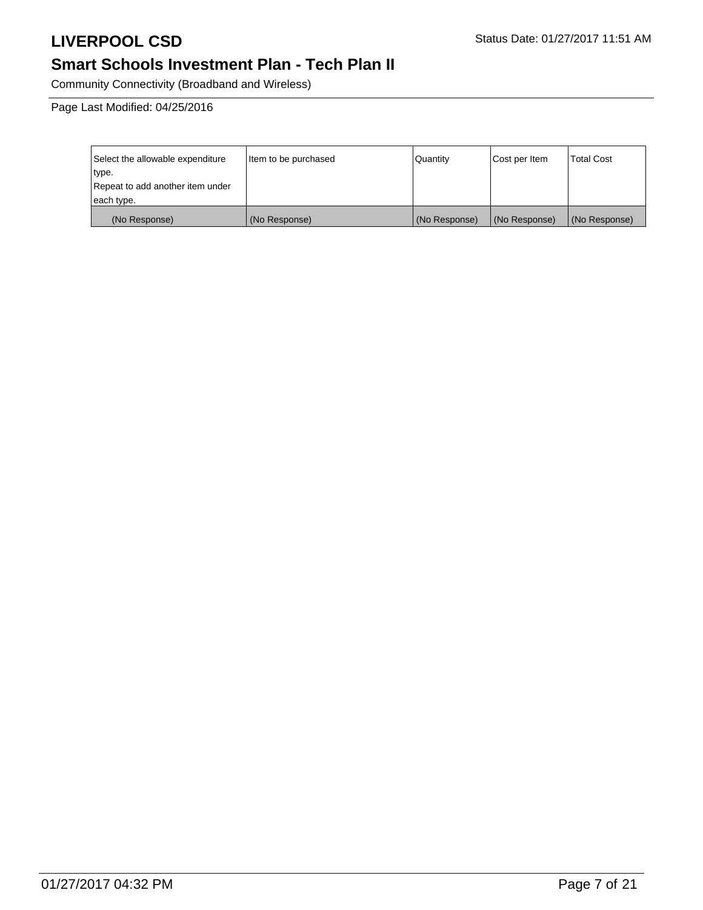Community Connectivity (Broadband and Wireless)

Page Last Modified: 04/25/2016

| Select the allowable expenditure | Item to be purchased | l Quantitv    | Cost per Item | <b>Total Cost</b> |
|----------------------------------|----------------------|---------------|---------------|-------------------|
| type.                            |                      |               |               |                   |
| Repeat to add another item under |                      |               |               |                   |
| each type.                       |                      |               |               |                   |
| (No Response)                    | (No Response)        | (No Response) | (No Response) | (No Response)     |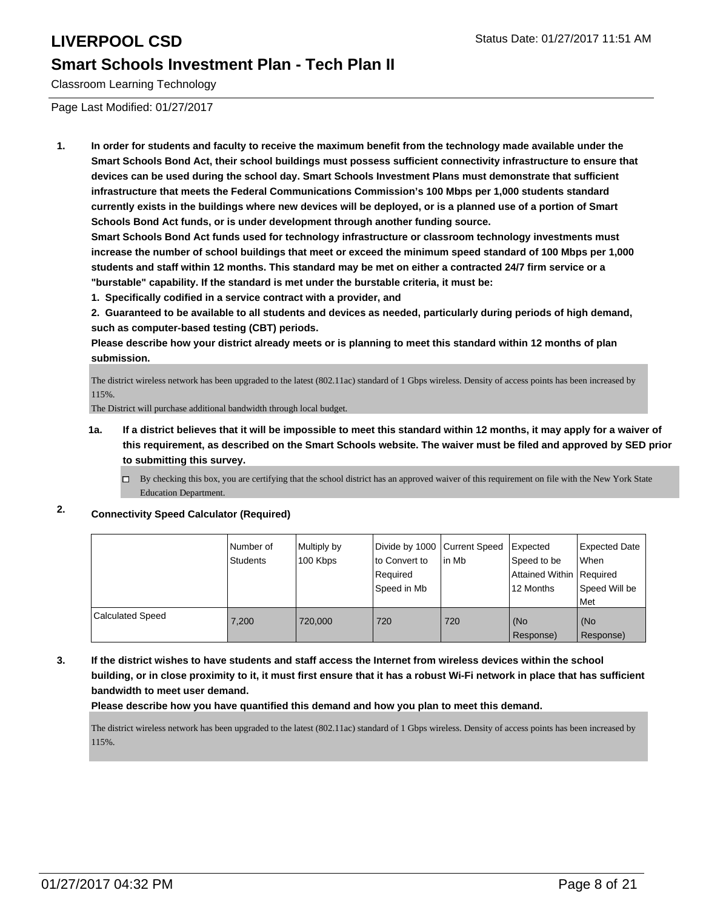Classroom Learning Technology

Page Last Modified: 01/27/2017

**1. In order for students and faculty to receive the maximum benefit from the technology made available under the Smart Schools Bond Act, their school buildings must possess sufficient connectivity infrastructure to ensure that devices can be used during the school day. Smart Schools Investment Plans must demonstrate that sufficient infrastructure that meets the Federal Communications Commission's 100 Mbps per 1,000 students standard currently exists in the buildings where new devices will be deployed, or is a planned use of a portion of Smart Schools Bond Act funds, or is under development through another funding source.**

**Smart Schools Bond Act funds used for technology infrastructure or classroom technology investments must increase the number of school buildings that meet or exceed the minimum speed standard of 100 Mbps per 1,000 students and staff within 12 months. This standard may be met on either a contracted 24/7 firm service or a "burstable" capability. If the standard is met under the burstable criteria, it must be:**

**1. Specifically codified in a service contract with a provider, and**

**2. Guaranteed to be available to all students and devices as needed, particularly during periods of high demand, such as computer-based testing (CBT) periods.**

**Please describe how your district already meets or is planning to meet this standard within 12 months of plan submission.**

The district wireless network has been upgraded to the latest (802.11ac) standard of 1 Gbps wireless. Density of access points has been increased by 115%.

The District will purchase additional bandwidth through local budget.

- **1a. If a district believes that it will be impossible to meet this standard within 12 months, it may apply for a waiver of this requirement, as described on the Smart Schools website. The waiver must be filed and approved by SED prior to submitting this survey.**
	- $\Box$  By checking this box, you are certifying that the school district has an approved waiver of this requirement on file with the New York State Education Department.

## **2. Connectivity Speed Calculator (Required)**

|                         | Number of<br>Students | Multiply by<br>100 Kbps | Divide by 1000 Current Speed<br>to Convert to<br>Required<br>l Speed in Mb | lin Mb | Expected<br>Speed to be<br>Attained Within   Required<br>l 12 Months | <b>Expected Date</b><br><b>When</b><br>Speed Will be<br><b>Met</b> |
|-------------------------|-----------------------|-------------------------|----------------------------------------------------------------------------|--------|----------------------------------------------------------------------|--------------------------------------------------------------------|
| <b>Calculated Speed</b> | 7.200                 | 720,000                 | 720                                                                        | 720    | (No<br>Response)                                                     | l (No<br>Response)                                                 |

**3. If the district wishes to have students and staff access the Internet from wireless devices within the school building, or in close proximity to it, it must first ensure that it has a robust Wi-Fi network in place that has sufficient bandwidth to meet user demand.**

**Please describe how you have quantified this demand and how you plan to meet this demand.**

The district wireless network has been upgraded to the latest (802.11ac) standard of 1 Gbps wireless. Density of access points has been increased by 115%.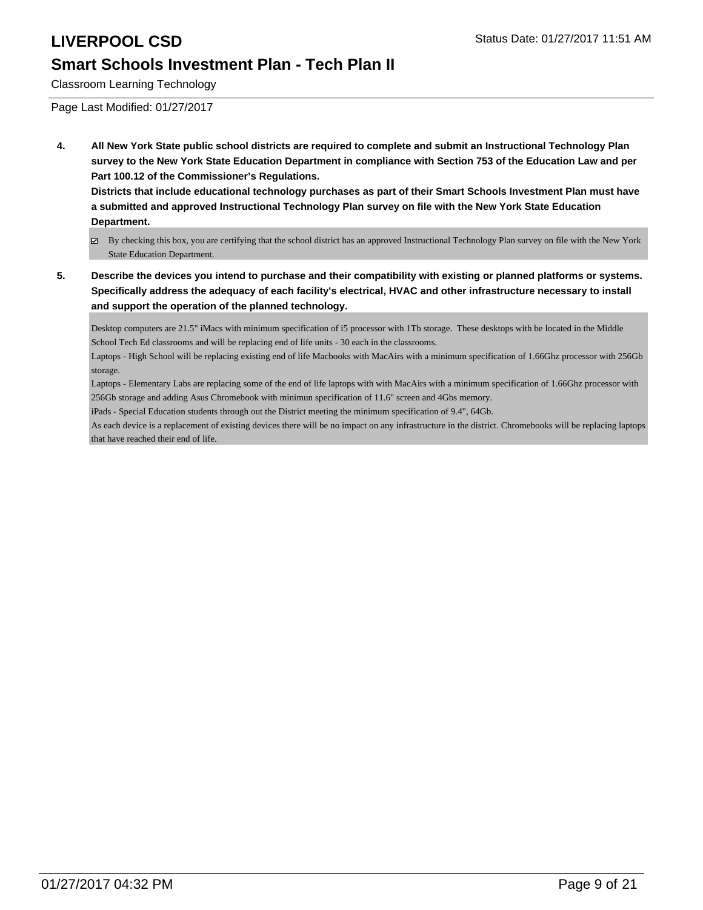Classroom Learning Technology

Page Last Modified: 01/27/2017

**4. All New York State public school districts are required to complete and submit an Instructional Technology Plan survey to the New York State Education Department in compliance with Section 753 of the Education Law and per Part 100.12 of the Commissioner's Regulations.**

**Districts that include educational technology purchases as part of their Smart Schools Investment Plan must have a submitted and approved Instructional Technology Plan survey on file with the New York State Education Department.**

- By checking this box, you are certifying that the school district has an approved Instructional Technology Plan survey on file with the New York State Education Department.
- **5. Describe the devices you intend to purchase and their compatibility with existing or planned platforms or systems. Specifically address the adequacy of each facility's electrical, HVAC and other infrastructure necessary to install and support the operation of the planned technology.**

Desktop computers are 21.5" iMacs with minimum specification of i5 processor with 1Tb storage. These desktops with be located in the Middle School Tech Ed classrooms and will be replacing end of life units - 30 each in the classrooms.

Laptops - High School will be replacing existing end of life Macbooks with MacAirs with a minimum specification of 1.66Ghz processor with 256Gb storage.

Laptops - Elementary Labs are replacing some of the end of life laptops with with MacAirs with a minimum specification of 1.66Ghz processor with 256Gb storage and adding Asus Chromebook with minimun specification of 11.6" screen and 4Gbs memory.

iPads - Special Education students through out the District meeting the minimum specification of 9.4", 64Gb.

As each device is a replacement of existing devices there will be no impact on any infrastructure in the district. Chromebooks will be replacing laptops that have reached their end of life.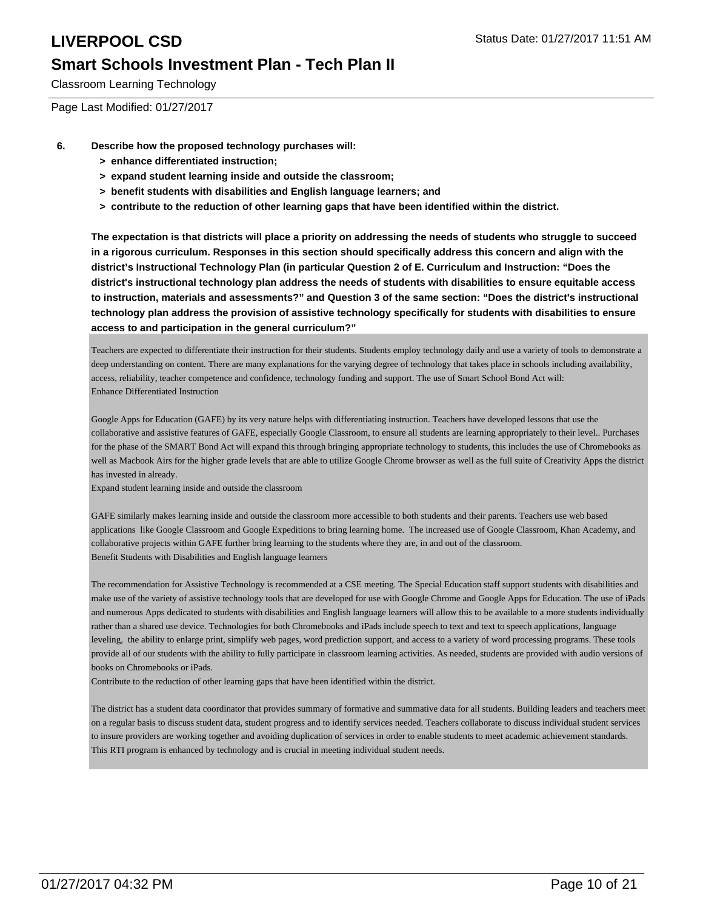Classroom Learning Technology

Page Last Modified: 01/27/2017

- **6. Describe how the proposed technology purchases will:**
	- **> enhance differentiated instruction;**
	- **> expand student learning inside and outside the classroom;**
	- **> benefit students with disabilities and English language learners; and**
	- **> contribute to the reduction of other learning gaps that have been identified within the district.**

**The expectation is that districts will place a priority on addressing the needs of students who struggle to succeed in a rigorous curriculum. Responses in this section should specifically address this concern and align with the district's Instructional Technology Plan (in particular Question 2 of E. Curriculum and Instruction: "Does the district's instructional technology plan address the needs of students with disabilities to ensure equitable access to instruction, materials and assessments?" and Question 3 of the same section: "Does the district's instructional technology plan address the provision of assistive technology specifically for students with disabilities to ensure access to and participation in the general curriculum?"**

Teachers are expected to differentiate their instruction for their students. Students employ technology daily and use a variety of tools to demonstrate a deep understanding on content. There are many explanations for the varying degree of technology that takes place in schools including availability, access, reliability, teacher competence and confidence, technology funding and support. The use of Smart School Bond Act will: Enhance Differentiated Instruction

Google Apps for Education (GAFE) by its very nature helps with differentiating instruction. Teachers have developed lessons that use the collaborative and assistive features of GAFE, especially Google Classroom, to ensure all students are learning appropriately to their level.. Purchases for the phase of the SMART Bond Act will expand this through bringing appropriate technology to students, this includes the use of Chromebooks as well as Macbook Airs for the higher grade levels that are able to utilize Google Chrome browser as well as the full suite of Creativity Apps the district has invested in already.

Expand student learning inside and outside the classroom

GAFE similarly makes learning inside and outside the classroom more accessible to both students and their parents. Teachers use web based applications like Google Classroom and Google Expeditions to bring learning home. The increased use of Google Classroom, Khan Academy, and collaborative projects within GAFE further bring learning to the students where they are, in and out of the classroom. Benefit Students with Disabilities and English language learners

The recommendation for Assistive Technology is recommended at a CSE meeting. The Special Education staff support students with disabilities and make use of the variety of assistive technology tools that are developed for use with Google Chrome and Google Apps for Education. The use of iPads and numerous Apps dedicated to students with disabilities and English language learners will allow this to be available to a more students individually rather than a shared use device. Technologies for both Chromebooks and iPads include speech to text and text to speech applications, language leveling, the ability to enlarge print, simplify web pages, word prediction support, and access to a variety of word processing programs. These tools provide all of our students with the ability to fully participate in classroom learning activities. As needed, students are provided with audio versions of books on Chromebooks or iPads.

Contribute to the reduction of other learning gaps that have been identified within the district.

The district has a student data coordinator that provides summary of formative and summative data for all students. Building leaders and teachers meet on a regular basis to discuss student data, student progress and to identify services needed. Teachers collaborate to discuss individual student services to insure providers are working together and avoiding duplication of services in order to enable students to meet academic achievement standards. This RTI program is enhanced by technology and is crucial in meeting individual student needs.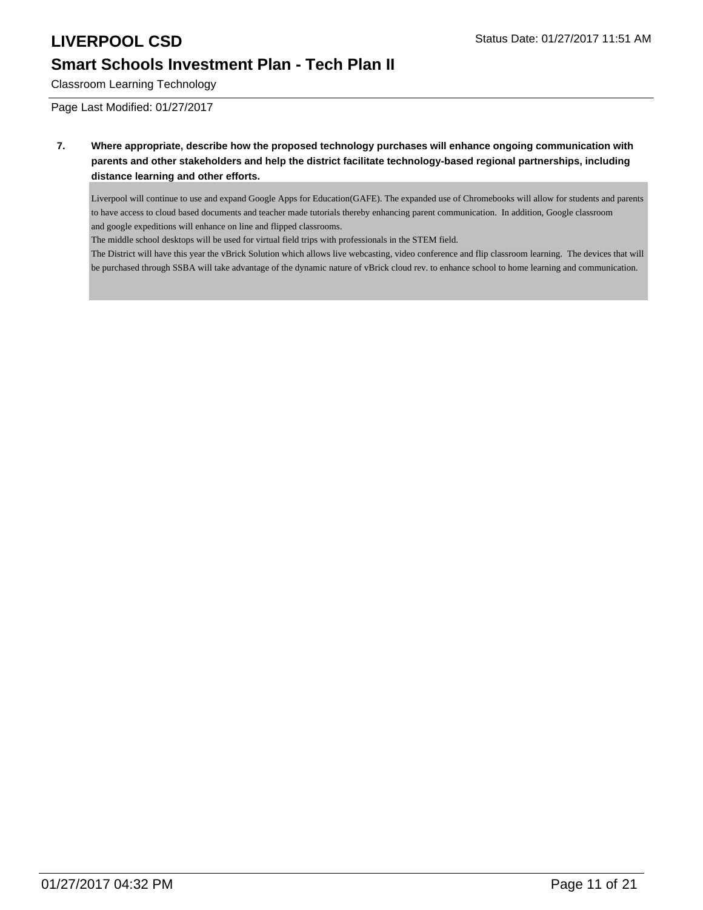Classroom Learning Technology

Page Last Modified: 01/27/2017

**7. Where appropriate, describe how the proposed technology purchases will enhance ongoing communication with parents and other stakeholders and help the district facilitate technology-based regional partnerships, including distance learning and other efforts.**

Liverpool will continue to use and expand Google Apps for Education(GAFE). The expanded use of Chromebooks will allow for students and parents to have access to cloud based documents and teacher made tutorials thereby enhancing parent communication. In addition, Google classroom and google expeditions will enhance on line and flipped classrooms.

The middle school desktops will be used for virtual field trips with professionals in the STEM field.

The District will have this year the vBrick Solution which allows live webcasting, video conference and flip classroom learning. The devices that will be purchased through SSBA will take advantage of the dynamic nature of vBrick cloud rev. to enhance school to home learning and communication.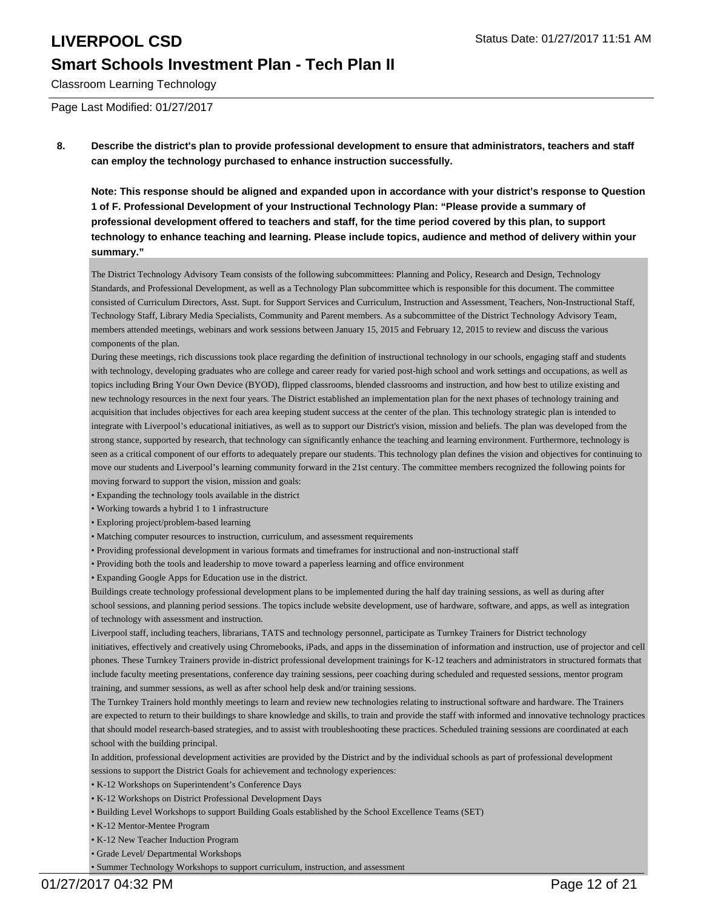Classroom Learning Technology

Page Last Modified: 01/27/2017

## **8. Describe the district's plan to provide professional development to ensure that administrators, teachers and staff can employ the technology purchased to enhance instruction successfully.**

**Note: This response should be aligned and expanded upon in accordance with your district's response to Question 1 of F. Professional Development of your Instructional Technology Plan: "Please provide a summary of professional development offered to teachers and staff, for the time period covered by this plan, to support technology to enhance teaching and learning. Please include topics, audience and method of delivery within your summary."**

The District Technology Advisory Team consists of the following subcommittees: Planning and Policy, Research and Design, Technology Standards, and Professional Development, as well as a Technology Plan subcommittee which is responsible for this document. The committee consisted of Curriculum Directors, Asst. Supt. for Support Services and Curriculum, Instruction and Assessment, Teachers, Non-Instructional Staff, Technology Staff, Library Media Specialists, Community and Parent members. As a subcommittee of the District Technology Advisory Team, members attended meetings, webinars and work sessions between January 15, 2015 and February 12, 2015 to review and discuss the various components of the plan.

During these meetings, rich discussions took place regarding the definition of instructional technology in our schools, engaging staff and students with technology, developing graduates who are college and career ready for varied post-high school and work settings and occupations, as well as topics including Bring Your Own Device (BYOD), flipped classrooms, blended classrooms and instruction, and how best to utilize existing and new technology resources in the next four years. The District established an implementation plan for the next phases of technology training and acquisition that includes objectives for each area keeping student success at the center of the plan. This technology strategic plan is intended to integrate with Liverpool's educational initiatives, as well as to support our District's vision, mission and beliefs. The plan was developed from the strong stance, supported by research, that technology can significantly enhance the teaching and learning environment. Furthermore, technology is seen as a critical component of our efforts to adequately prepare our students. This technology plan defines the vision and objectives for continuing to move our students and Liverpool's learning community forward in the 21st century. The committee members recognized the following points for moving forward to support the vision, mission and goals:

• Expanding the technology tools available in the district

• Working towards a hybrid 1 to 1 infrastructure

• Exploring project/problem-based learning

• Matching computer resources to instruction, curriculum, and assessment requirements

• Providing professional development in various formats and timeframes for instructional and non-instructional staff

• Providing both the tools and leadership to move toward a paperless learning and office environment

• Expanding Google Apps for Education use in the district.

Buildings create technology professional development plans to be implemented during the half day training sessions, as well as during after school sessions, and planning period sessions. The topics include website development, use of hardware, software, and apps, as well as integration of technology with assessment and instruction.

Liverpool staff, including teachers, librarians, TATS and technology personnel, participate as Turnkey Trainers for District technology initiatives, effectively and creatively using Chromebooks, iPads, and apps in the dissemination of information and instruction, use of projector and cell phones. These Turnkey Trainers provide in-district professional development trainings for K-12 teachers and administrators in structured formats that include faculty meeting presentations, conference day training sessions, peer coaching during scheduled and requested sessions, mentor program training, and summer sessions, as well as after school help desk and/or training sessions.

The Turnkey Trainers hold monthly meetings to learn and review new technologies relating to instructional software and hardware. The Trainers are expected to return to their buildings to share knowledge and skills, to train and provide the staff with informed and innovative technology practices that should model research-based strategies, and to assist with troubleshooting these practices. Scheduled training sessions are coordinated at each school with the building principal.

In addition, professional development activities are provided by the District and by the individual schools as part of professional development sessions to support the District Goals for achievement and technology experiences:

• K-12 Workshops on Superintendent's Conference Days

• K-12 Workshops on District Professional Development Days

- Building Level Workshops to support Building Goals established by the School Excellence Teams (SET)
- K-12 Mentor-Mentee Program
- K-12 New Teacher Induction Program
- Grade Level/ Departmental Workshops
- Summer Technology Workshops to support curriculum, instruction, and assessment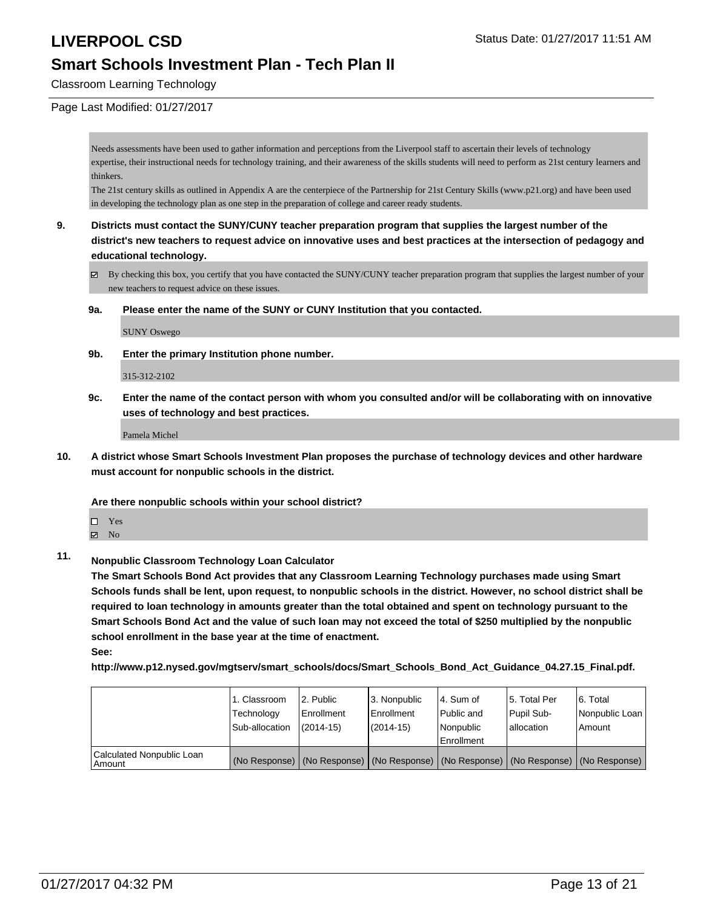Classroom Learning Technology

## Page Last Modified: 01/27/2017

Needs assessments have been used to gather information and perceptions from the Liverpool staff to ascertain their levels of technology expertise, their instructional needs for technology training, and their awareness of the skills students will need to perform as 21st century learners and thinkers.

The 21st century skills as outlined in Appendix A are the centerpiece of the Partnership for 21st Century Skills (www.p21.org) and have been used in developing the technology plan as one step in the preparation of college and career ready students.

**9. Districts must contact the SUNY/CUNY teacher preparation program that supplies the largest number of the district's new teachers to request advice on innovative uses and best practices at the intersection of pedagogy and educational technology.**

 $\boxtimes$  By checking this box, you certify that you have contacted the SUNY/CUNY teacher preparation program that supplies the largest number of your new teachers to request advice on these issues.

**9a. Please enter the name of the SUNY or CUNY Institution that you contacted.**

SUNY Oswego

**9b. Enter the primary Institution phone number.**

315-312-2102

**9c. Enter the name of the contact person with whom you consulted and/or will be collaborating with on innovative uses of technology and best practices.**

Pamela Michel

**10. A district whose Smart Schools Investment Plan proposes the purchase of technology devices and other hardware must account for nonpublic schools in the district.**

**Are there nonpublic schools within your school district?**

Yes  $\boxtimes$  No

**See:**

**11. Nonpublic Classroom Technology Loan Calculator**

**The Smart Schools Bond Act provides that any Classroom Learning Technology purchases made using Smart Schools funds shall be lent, upon request, to nonpublic schools in the district. However, no school district shall be required to loan technology in amounts greater than the total obtained and spent on technology pursuant to the Smart Schools Bond Act and the value of such loan may not exceed the total of \$250 multiplied by the nonpublic school enrollment in the base year at the time of enactment.**

**http://www.p12.nysed.gov/mgtserv/smart\_schools/docs/Smart\_Schools\_Bond\_Act\_Guidance\_04.27.15\_Final.pdf.**

|                                       | 1. Classroom<br>Technology<br>Sub-allocation | 2. Public<br>Enrollment<br>$(2014 - 15)$                                                      | 3. Nonpublic<br>l Enrollment<br>(2014-15) | l 4. Sum of<br>Public and<br>Nonpublic<br>l Enrollment | 5. Total Per<br>Pupil Sub-<br>lallocation | 6. Total<br>Nonpublic Loan<br>Amount |
|---------------------------------------|----------------------------------------------|-----------------------------------------------------------------------------------------------|-------------------------------------------|--------------------------------------------------------|-------------------------------------------|--------------------------------------|
| Calculated Nonpublic Loan<br>l Amount |                                              | (No Response)   (No Response)   (No Response)   (No Response)   (No Response)   (No Response) |                                           |                                                        |                                           |                                      |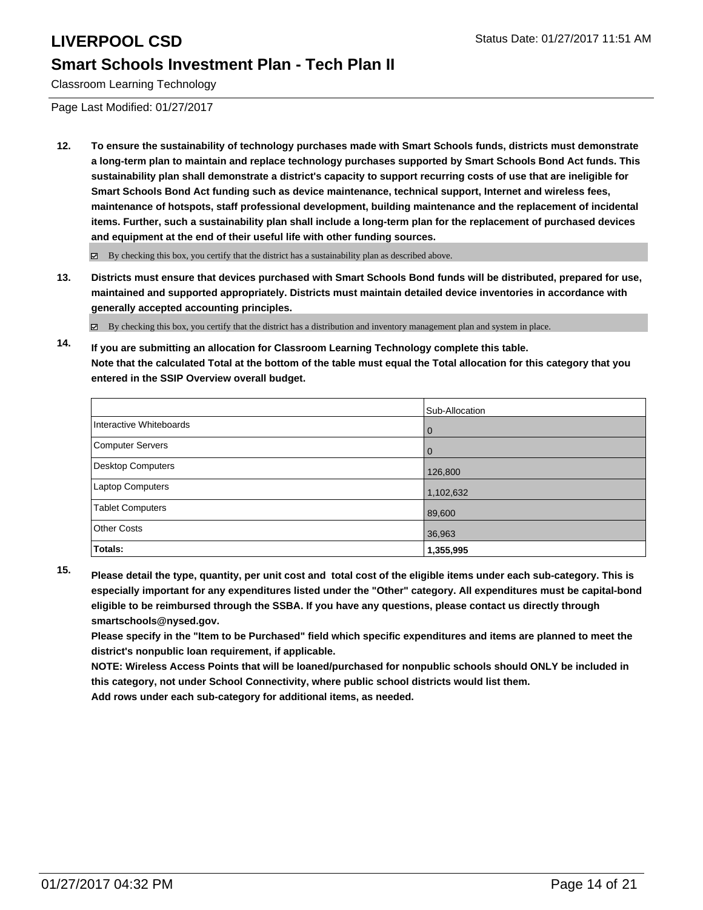Classroom Learning Technology

Page Last Modified: 01/27/2017

**12. To ensure the sustainability of technology purchases made with Smart Schools funds, districts must demonstrate a long-term plan to maintain and replace technology purchases supported by Smart Schools Bond Act funds. This sustainability plan shall demonstrate a district's capacity to support recurring costs of use that are ineligible for Smart Schools Bond Act funding such as device maintenance, technical support, Internet and wireless fees, maintenance of hotspots, staff professional development, building maintenance and the replacement of incidental items. Further, such a sustainability plan shall include a long-term plan for the replacement of purchased devices and equipment at the end of their useful life with other funding sources.**

 $\boxtimes$  By checking this box, you certify that the district has a sustainability plan as described above.

- **13. Districts must ensure that devices purchased with Smart Schools Bond funds will be distributed, prepared for use, maintained and supported appropriately. Districts must maintain detailed device inventories in accordance with generally accepted accounting principles.**
	- By checking this box, you certify that the district has a distribution and inventory management plan and system in place.
- **14. If you are submitting an allocation for Classroom Learning Technology complete this table. Note that the calculated Total at the bottom of the table must equal the Total allocation for this category that you entered in the SSIP Overview overall budget.**

|                         | Sub-Allocation |
|-------------------------|----------------|
| Interactive Whiteboards | 0              |
| Computer Servers        | 0              |
| Desktop Computers       | 126,800        |
| <b>Laptop Computers</b> | 1,102,632      |
| <b>Tablet Computers</b> | 89,600         |
| Other Costs             | 36,963         |
| <b>Totals:</b>          | 1,355,995      |

**15. Please detail the type, quantity, per unit cost and total cost of the eligible items under each sub-category. This is especially important for any expenditures listed under the "Other" category. All expenditures must be capital-bond eligible to be reimbursed through the SSBA. If you have any questions, please contact us directly through smartschools@nysed.gov.**

**Please specify in the "Item to be Purchased" field which specific expenditures and items are planned to meet the district's nonpublic loan requirement, if applicable.**

**NOTE: Wireless Access Points that will be loaned/purchased for nonpublic schools should ONLY be included in this category, not under School Connectivity, where public school districts would list them.**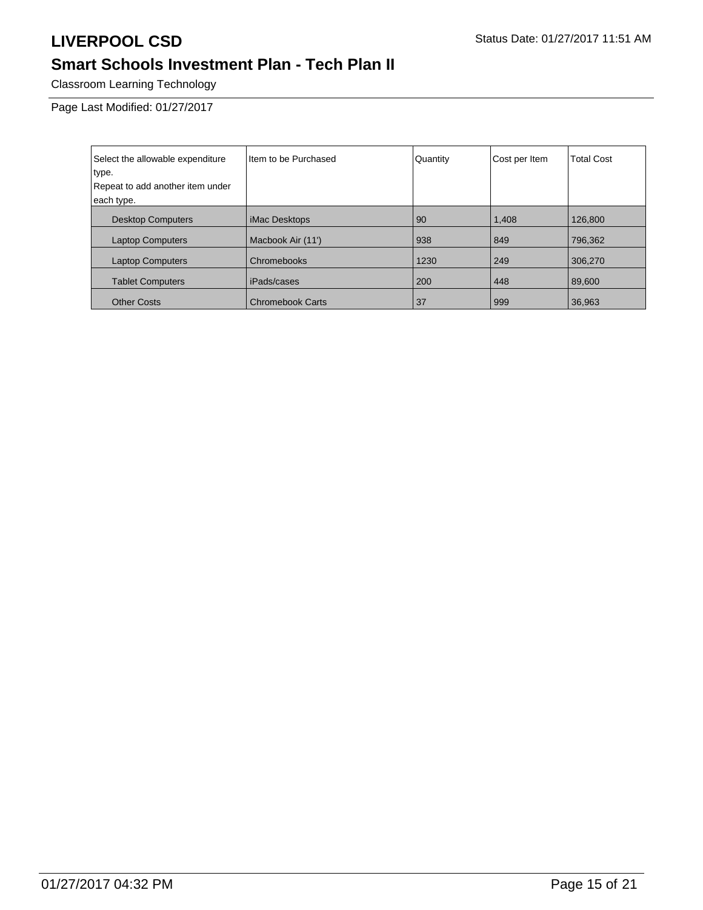Classroom Learning Technology

Page Last Modified: 01/27/2017

| Select the allowable expenditure<br>type. | Item to be Purchased    | Quantity | Cost per Item | <b>Total Cost</b> |
|-------------------------------------------|-------------------------|----------|---------------|-------------------|
| Repeat to add another item under          |                         |          |               |                   |
| each type.                                |                         |          |               |                   |
| <b>Desktop Computers</b>                  | iMac Desktops           | 90       | 1,408         | 126,800           |
| <b>Laptop Computers</b>                   | Macbook Air (11')       | 938      | 849           | 796,362           |
| <b>Laptop Computers</b>                   | Chromebooks             | 1230     | 249           | 306.270           |
| <b>Tablet Computers</b>                   | iPads/cases             | 200      | 448           | 89,600            |
| <b>Other Costs</b>                        | <b>Chromebook Carts</b> | 37       | 999           | 36,963            |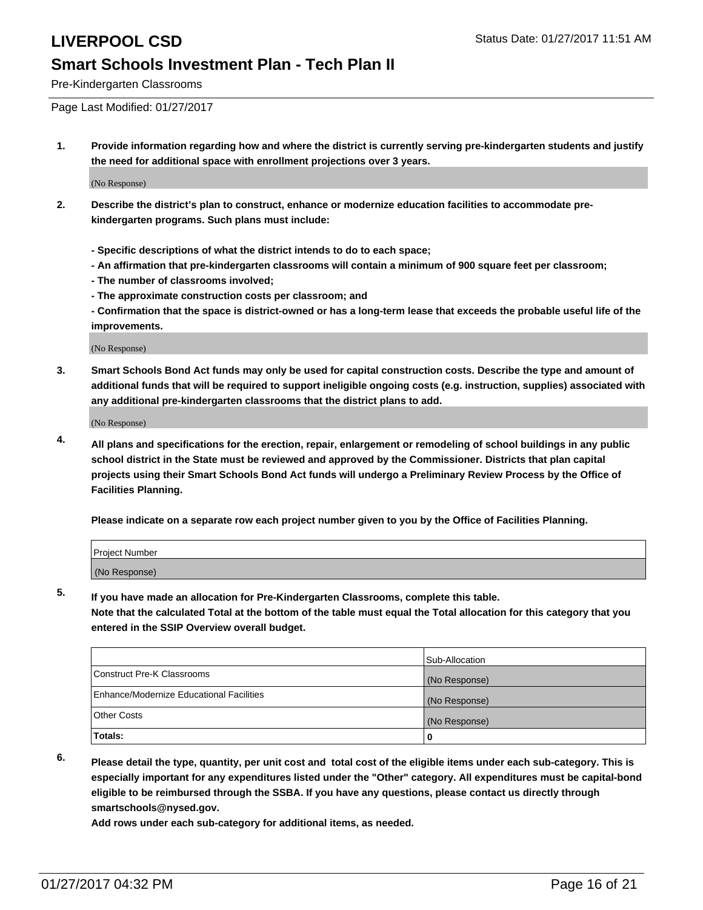Pre-Kindergarten Classrooms

Page Last Modified: 01/27/2017

**1. Provide information regarding how and where the district is currently serving pre-kindergarten students and justify the need for additional space with enrollment projections over 3 years.**

(No Response)

- **2. Describe the district's plan to construct, enhance or modernize education facilities to accommodate prekindergarten programs. Such plans must include:**
	- **Specific descriptions of what the district intends to do to each space;**
	- **An affirmation that pre-kindergarten classrooms will contain a minimum of 900 square feet per classroom;**
	- **The number of classrooms involved;**
	- **The approximate construction costs per classroom; and**
	- **Confirmation that the space is district-owned or has a long-term lease that exceeds the probable useful life of the improvements.**

(No Response)

**3. Smart Schools Bond Act funds may only be used for capital construction costs. Describe the type and amount of additional funds that will be required to support ineligible ongoing costs (e.g. instruction, supplies) associated with any additional pre-kindergarten classrooms that the district plans to add.**

(No Response)

**4. All plans and specifications for the erection, repair, enlargement or remodeling of school buildings in any public school district in the State must be reviewed and approved by the Commissioner. Districts that plan capital projects using their Smart Schools Bond Act funds will undergo a Preliminary Review Process by the Office of Facilities Planning.**

**Please indicate on a separate row each project number given to you by the Office of Facilities Planning.**

| Project Number |  |  |
|----------------|--|--|
| (No Response)  |  |  |

**5. If you have made an allocation for Pre-Kindergarten Classrooms, complete this table.**

**Note that the calculated Total at the bottom of the table must equal the Total allocation for this category that you entered in the SSIP Overview overall budget.**

|                                          | Sub-Allocation |
|------------------------------------------|----------------|
| Construct Pre-K Classrooms               | (No Response)  |
| Enhance/Modernize Educational Facilities | (No Response)  |
| Other Costs                              | (No Response)  |
| Totals:                                  |                |

**6. Please detail the type, quantity, per unit cost and total cost of the eligible items under each sub-category. This is especially important for any expenditures listed under the "Other" category. All expenditures must be capital-bond eligible to be reimbursed through the SSBA. If you have any questions, please contact us directly through smartschools@nysed.gov.**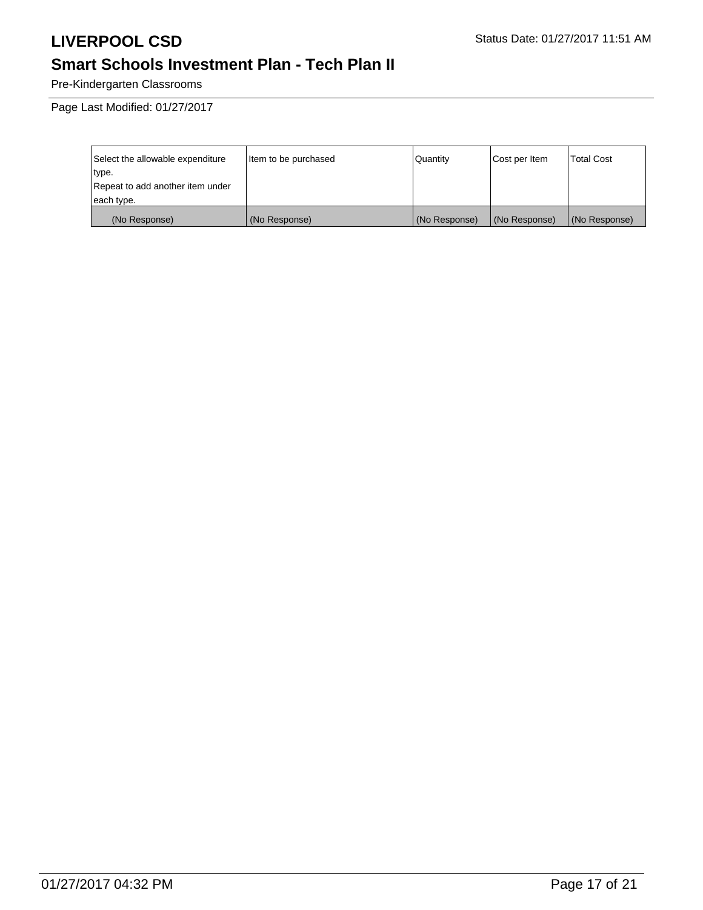# **LIVERPOOL CSD** Status Date: 01/27/2017 11:51 AM

# **Smart Schools Investment Plan - Tech Plan II**

Pre-Kindergarten Classrooms

Page Last Modified: 01/27/2017

| Select the allowable expenditure | Item to be purchased | Quantity      | Cost per Item | <b>Total Cost</b> |
|----------------------------------|----------------------|---------------|---------------|-------------------|
| type.                            |                      |               |               |                   |
| Repeat to add another item under |                      |               |               |                   |
| each type.                       |                      |               |               |                   |
| (No Response)                    | (No Response)        | (No Response) | (No Response) | (No Response)     |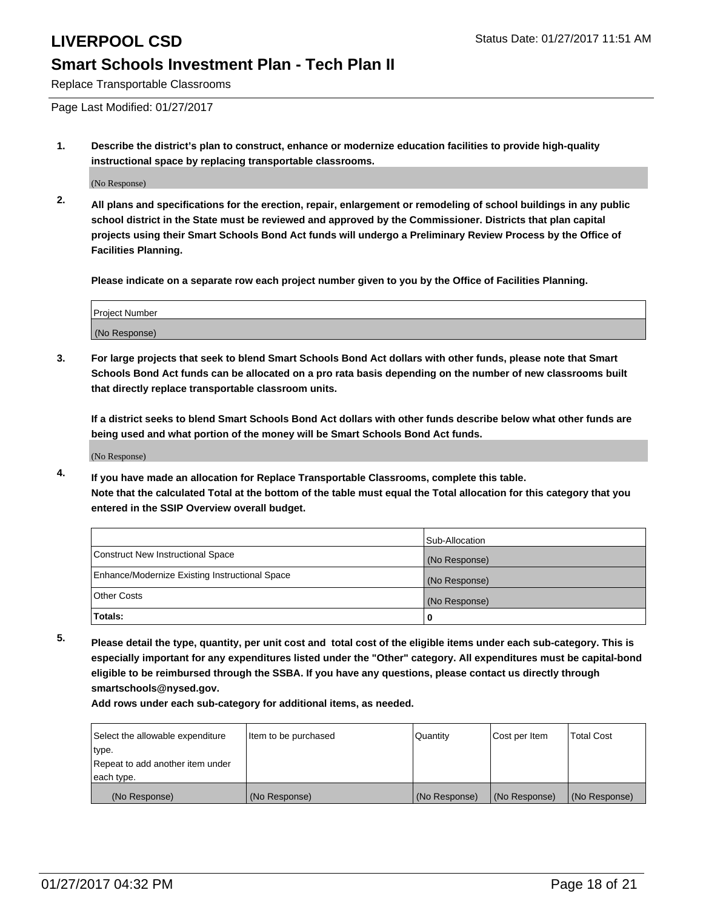Replace Transportable Classrooms

Page Last Modified: 01/27/2017

**1. Describe the district's plan to construct, enhance or modernize education facilities to provide high-quality instructional space by replacing transportable classrooms.**

(No Response)

**2. All plans and specifications for the erection, repair, enlargement or remodeling of school buildings in any public school district in the State must be reviewed and approved by the Commissioner. Districts that plan capital projects using their Smart Schools Bond Act funds will undergo a Preliminary Review Process by the Office of Facilities Planning.**

**Please indicate on a separate row each project number given to you by the Office of Facilities Planning.**

| <b>Project Number</b> |  |
|-----------------------|--|
| (No Response)         |  |

**3. For large projects that seek to blend Smart Schools Bond Act dollars with other funds, please note that Smart Schools Bond Act funds can be allocated on a pro rata basis depending on the number of new classrooms built that directly replace transportable classroom units.**

**If a district seeks to blend Smart Schools Bond Act dollars with other funds describe below what other funds are being used and what portion of the money will be Smart Schools Bond Act funds.**

(No Response)

**4. If you have made an allocation for Replace Transportable Classrooms, complete this table. Note that the calculated Total at the bottom of the table must equal the Total allocation for this category that you entered in the SSIP Overview overall budget.**

|                                                | Sub-Allocation |
|------------------------------------------------|----------------|
| Construct New Instructional Space              | (No Response)  |
| Enhance/Modernize Existing Instructional Space | (No Response)  |
| <b>Other Costs</b>                             | (No Response)  |
| Totals:                                        |                |

**5. Please detail the type, quantity, per unit cost and total cost of the eligible items under each sub-category. This is especially important for any expenditures listed under the "Other" category. All expenditures must be capital-bond eligible to be reimbursed through the SSBA. If you have any questions, please contact us directly through smartschools@nysed.gov.**

| Select the allowable expenditure | Item to be purchased | Quantity      | Cost per Item | <b>Total Cost</b> |
|----------------------------------|----------------------|---------------|---------------|-------------------|
| type.                            |                      |               |               |                   |
| Repeat to add another item under |                      |               |               |                   |
| each type.                       |                      |               |               |                   |
| (No Response)                    | (No Response)        | (No Response) | (No Response) | (No Response)     |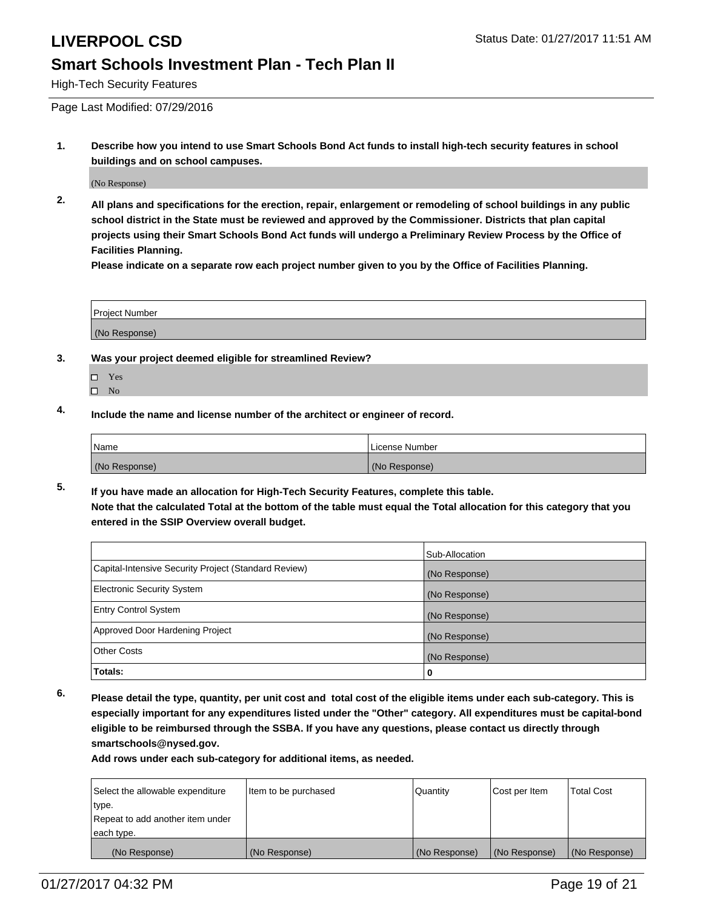High-Tech Security Features

Page Last Modified: 07/29/2016

**1. Describe how you intend to use Smart Schools Bond Act funds to install high-tech security features in school buildings and on school campuses.**

(No Response)

**2. All plans and specifications for the erection, repair, enlargement or remodeling of school buildings in any public school district in the State must be reviewed and approved by the Commissioner. Districts that plan capital projects using their Smart Schools Bond Act funds will undergo a Preliminary Review Process by the Office of Facilities Planning.** 

**Please indicate on a separate row each project number given to you by the Office of Facilities Planning.**

| <b>Project Number</b> |  |
|-----------------------|--|
| (No Response)         |  |

- **3. Was your project deemed eligible for streamlined Review?**
	- Yes
	- $\square$  No
- **4. Include the name and license number of the architect or engineer of record.**

| <sup>1</sup> Name | License Number |
|-------------------|----------------|
| (No Response)     | (No Response)  |

**5. If you have made an allocation for High-Tech Security Features, complete this table. Note that the calculated Total at the bottom of the table must equal the Total allocation for this category that you entered in the SSIP Overview overall budget.**

|                                                      | Sub-Allocation |
|------------------------------------------------------|----------------|
| Capital-Intensive Security Project (Standard Review) | (No Response)  |
| <b>Electronic Security System</b>                    | (No Response)  |
| <b>Entry Control System</b>                          | (No Response)  |
| Approved Door Hardening Project                      | (No Response)  |
| <b>Other Costs</b>                                   | (No Response)  |
| Totals:                                              | 0              |

**6. Please detail the type, quantity, per unit cost and total cost of the eligible items under each sub-category. This is especially important for any expenditures listed under the "Other" category. All expenditures must be capital-bond eligible to be reimbursed through the SSBA. If you have any questions, please contact us directly through smartschools@nysed.gov.**

| Select the allowable expenditure | Item to be purchased | Quantity      | Cost per Item | <b>Total Cost</b> |
|----------------------------------|----------------------|---------------|---------------|-------------------|
| type.                            |                      |               |               |                   |
| Repeat to add another item under |                      |               |               |                   |
| each type.                       |                      |               |               |                   |
| (No Response)                    | (No Response)        | (No Response) | (No Response) | (No Response)     |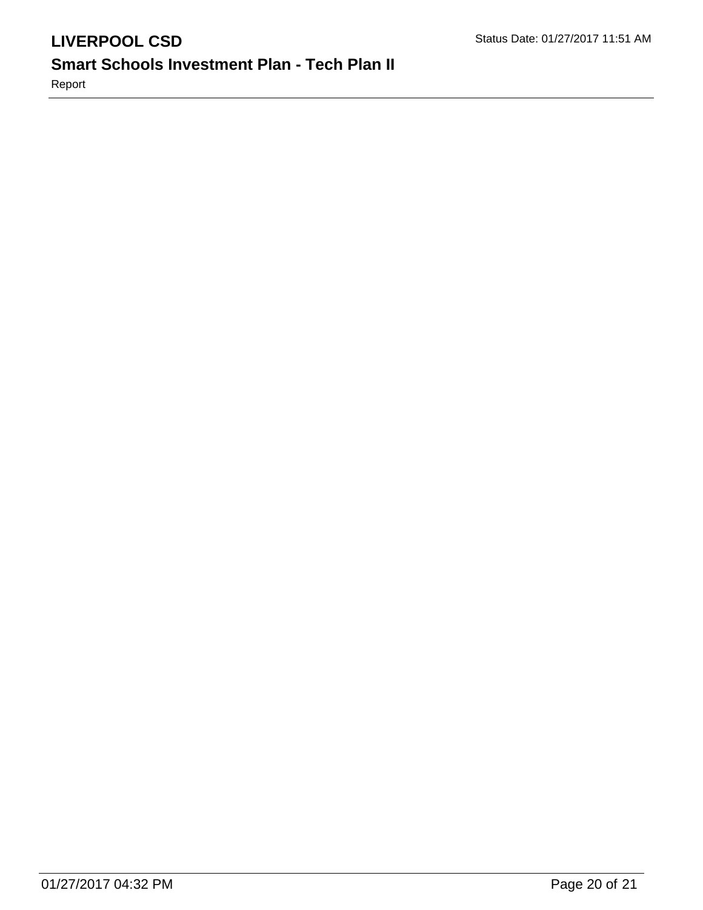# **LIVERPOOL CSD** Status Date: 01/27/2017 11:51 AM **Smart Schools Investment Plan - Tech Plan II**

Report